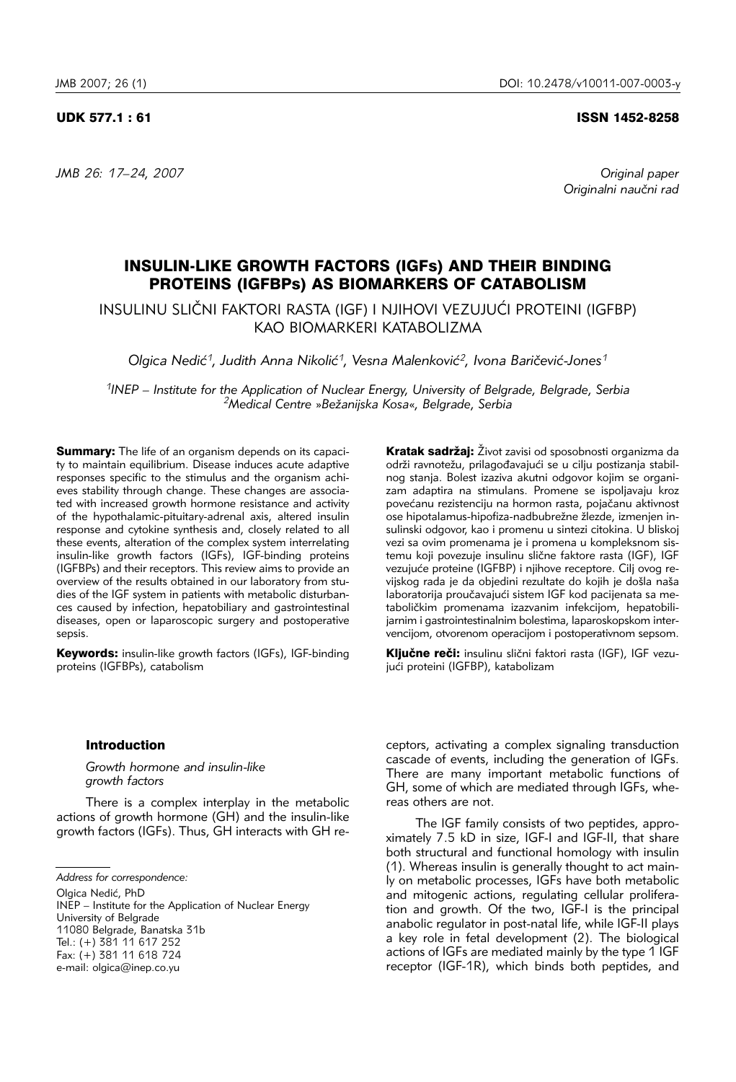*JMB 26: 17–24, 2007 Original paper*

UDK 577.1 : 61 ISSN 1452-8258

Originalni naučni rad

# INSULIN-LIKE GROWTH FACTORS (IGFs) AND THEIR BINDING PROTEINS (IGFBPs) AS BIOMARKERS OF CATABOLISM

INSULINU SLIČNI FAKTORI RASTA (IGF) I NJIHOVI VEZUJUĆI PROTEINI (IGFBP) KAO BIOMARKERI KATABOLIZMA

*Olgica Nedić<sup>1</sup>, Judith Anna Nikolić<sup>1</sup>, Vesna Malenković<sup>2</sup>, Ivona Baričević-Jones<sup>1</sup>* 

*1INEP – Institute for the Application of Nuclear Energy, University of Belgrade, Belgrade, Serbia 2Medical Centre* »*Be`anijska Kosa*«*, Belgrade, Serbia* 

**Summary:** The life of an organism depends on its capacity to maintain equilibrium. Disease induces acute adaptive responses specific to the stimulus and the organism achieves stability through change. These changes are associated with increased growth hormone resistance and activity of the hypothalamic-pituitary-adrenal axis, altered insulin response and cytokine synthesis and, closely related to all these events, alteration of the complex system interrelating insulin-like growth factors (IGFs), IGF-binding proteins (IGFBPs) and their receptors. This review aims to provide an overview of the results obtained in our laboratory from studies of the IGF system in patients with metabolic disturbances caused by infection, hepatobiliary and gastrointestinal diseases, open or laparoscopic surgery and postoperative sepsis.

Keywords: insulin-like growth factors (IGFs), IGF-binding proteins (IGFBPs), catabolism

Kratak sadržai: Život zavisi od sposobnosti organizma da održi ravnotežu, prilagođavajući se u cilju postizanja stabilnog stanja. Bolest izaziva akutni odgovor kojim se organizam adaptira na stimulans. Promene se ispoljavaju kroz povećanu rezistenciju na hormon rasta, pojačanu aktivnost ose hipotalamus-hipofiza-nadbubrežne žlezde, izmenjen insulinski odgovor, kao i promenu u sintezi citokina. U bliskoj vezi sa ovim promenama je i promena u kompleksnom sistemu koji povezuje insulinu slične faktore rasta (IGF), IGF vezujuće proteine (IGFBP) i njihove receptore. Cilj ovog revijskog rada je da objedini rezultate do kojih je došla naša laboratorija proučavajući sistem IGF kod pacijenata sa metaboličkim promenama izazvanim infekcijom, hepatobilijarnim i gastrointestinalnim bolestima, laparoskopskom intervencijom, otvorenom operacijom i postoperativnom sepsom.

Ključne reči: insulinu slični faktori rasta (IGF), IGF vezujući proteini (IGFBP), katabolizam

# Introduction

*Growth hormone and insulin*-*like growth factors*

There is a complex interplay in the metabolic actions of growth hormone (GH) and the insulin-like growth factors (IGFs). Thus, GH interacts with GH re-

*Address for correspondence:* 

Olgica Nedić, PhD

INEP – Institute for the Application of Nuclear Energy University of Belgrade 11080 Belgrade, Banatska 31b Tel.: (+) 381 11 617 252 Fax: (+) 381 11 618 724 e-mail: olgica@inep.co.yu

ceptors, activating a complex signaling transduction cascade of events, including the generation of IGFs. There are many important metabolic functions of GH, some of which are mediated through IGFs, whereas others are not.

The IGF family consists of two peptides, approximately 7.5 kD in size, IGF-I and IGF-II, that share both structural and functional homology with insulin (1). Whereas insulin is generally thought to act mainly on metabolic processes, IGFs have both metabolic and mitogenic actions, regulating cellular proliferation and growth. Of the two, IGF-I is the principal anabolic regulator in post-natal life, while IGF-II plays a key role in fetal development (2). The biological actions of IGFs are mediated mainly by the type 1 IGF receptor (IGF-1R), which binds both peptides, and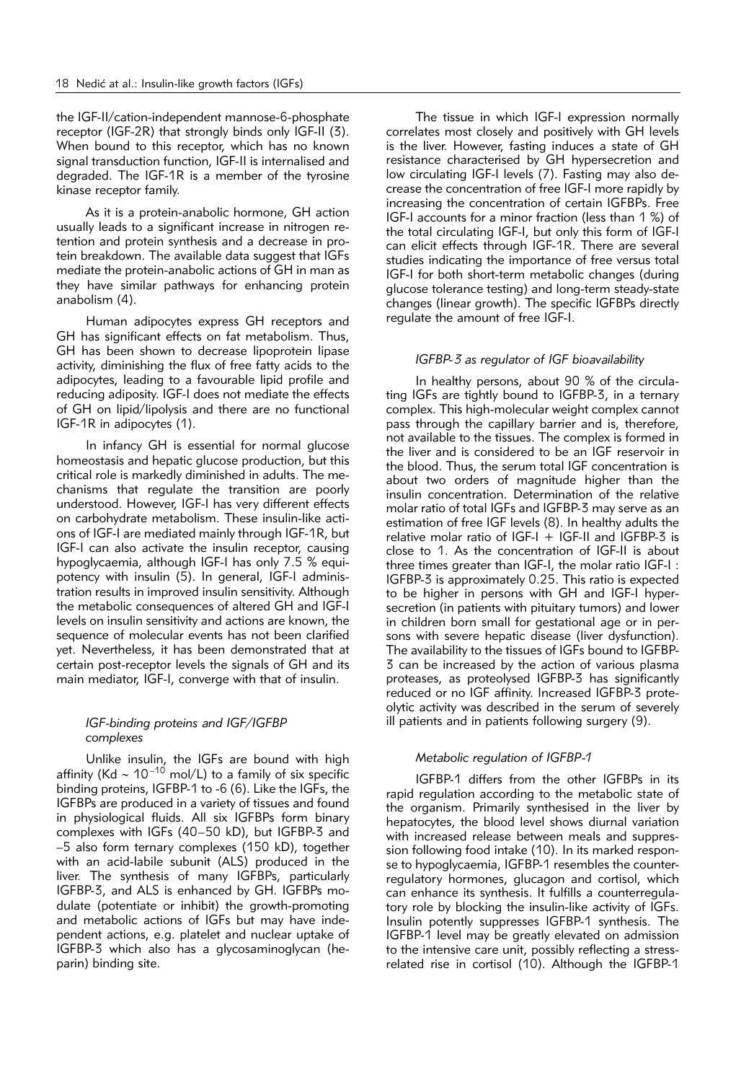the IGF-II/cation-independent mannose-6-phosphate receptor (IGF-2R) that strongly binds only IGF-II (3). When bound to this receptor, which has no known signal transduction function, IGF-II is internalised and degraded. The IGF-1R is a member of the tyrosine kinase receptor family.

As it is a protein-anabolic hormone, GH action usually leads to a significant increase in nitrogen retention and protein synthesis and a decrease in protein breakdown. The available data suggest that IGFs mediate the protein-anabolic actions of GH in man as they have similar pathways for enhancing protein anabolism (4).

Human adipocytes express GH receptors and GH has significant effects on fat metabolism. Thus, GH has been shown to decrease lipoprotein lipase activity, diminishing the flux of free fatty acids to the adipocytes, leading to a favourable lipid profile and reducing adiposity. IGF-I does not mediate the effects of GH on lipid/lipolysis and there are no functional IGF-1R in adipocytes (1).

In infancy GH is essential for normal glucose homeostasis and hepatic glucose production, but this critical role is markedly diminished in adults. The mechanisms that regulate the transition are poorly understood. However, IGF-I has very different effects on carbohydrate metabolism. These insulin-like actions of IGF-I are mediated mainly through IGF-1R, but IGF-I can also activate the insulin receptor, causing hypoglycaemia, although IGF-I has only 7.5 % equipotency with insulin (5). In general, IGF-I administration results in improved insulin sensitivity. Although the metabolic consequences of altered GH and IGF-I levels on insulin sensitivity and actions are known, the sequence of molecular events has not been clarified yet. Nevertheless, it has been demonstrated that at certain post-receptor levels the signals of GH and its main mediator, IGF-I, converge with that of insulin.

# *IGF*-*binding proteins and IGF/IGFBP complexes*

Unlike insulin, the IGFs are bound with high affinity (Kd ~ 10<sup>–10</sup> mol/L) to a family of six specific binding proteins, IGFBP-1 to -6 (6). Like the IGFs, the IGFBPs are produced in a variety of tissues and found in physiological fluids. All six IGFBPs form binary complexes with IGFs (40–50 kD), but IGFBP-3 and –5 also form ternary complexes (150 kD), together with an acid-labile subunit (ALS) produced in the liver. The synthesis of many IGFBPs, particularly IGFBP-3, and ALS is enhanced by GH. IGFBPs modulate (potentiate or inhibit) the growth-promoting and metabolic actions of IGFs but may have independent actions, e.g. platelet and nuclear uptake of IGFBP-3 which also has a glycosaminoglycan (heparin) binding site.

The tissue in which IGF-I expression normally correlates most closely and positively with GH levels is the liver. However, fasting induces a state of GH resistance characterised by GH hypersecretion and low circulating IGF-I levels (7). Fasting may also decrease the concentration of free IGF-I more rapidly by increasing the concentration of certain IGFBPs. Free IGF-I accounts for a minor fraction (less than 1 %) of the total circulating IGF-I, but only this form of IGF-I can elicit effects through IGF-1R. There are several studies indicating the importance of free versus total IGF-I for both short-term metabolic changes (during glucose tolerance testing) and long-term steady-state changes (linear growth). The specific IGFBPs directly regulate the amount of free IGF-I.

#### *IGFBP-3 as regulator of IGF bioavailability*

In healthy persons, about 90 % of the circulating IGFs are tightly bound to IGFBP-3, in a ternary complex. This high-molecular weight complex cannot pass through the capillary barrier and is, therefore, not available to the tissues. The complex is formed in the liver and is considered to be an IGF reservoir in the blood. Thus, the serum total IGF concentration is about two orders of magnitude higher than the insulin concentration. Determination of the relative molar ratio of total IGFs and IGFBP-3 may serve as an estimation of free IGF levels (8). In healthy adults the relative molar ratio of  $IGF-I + IGF-II$  and  $IGFBP-3$  is close to 1. As the concentration of IGF-II is about three times greater than IGF-I, the molar ratio IGF-I : IGFBP-3 is approximately 0.25. This ratio is expected to be higher in persons with GH and IGF-I hypersecretion (in patients with pituitary tumors) and lower in children born small for gestational age or in persons with severe hepatic disease (liver dysfunction). The availability to the tissues of IGFs bound to IGFBP-3 can be increased by the action of various plasma proteases, as proteolysed IGFBP-3 has significantly reduced or no IGF affinity. Increased IGFBP-3 proteolytic activity was described in the serum of severely ill patients and in patients following surgery (9).

### *Metabolic regulation of IGFBP-1*

IGFBP-1 differs from the other IGFBPs in its rapid regulation according to the metabolic state of the organism. Primarily synthesised in the liver by hepatocytes, the blood level shows diurnal variation with increased release between meals and suppression following food intake (10). In its marked response to hypoglycaemia, IGFBP-1 resembles the counterregulatory hormones, glucagon and cortisol, which can enhance its synthesis. It fulfills a counterregulatory role by blocking the insulin-like activity of IGFs. Insulin potently suppresses IGFBP-1 synthesis. The IGFBP-1 level may be greatly elevated on admission to the intensive care unit, possibly reflecting a stressrelated rise in cortisol (10). Although the IGFBP-1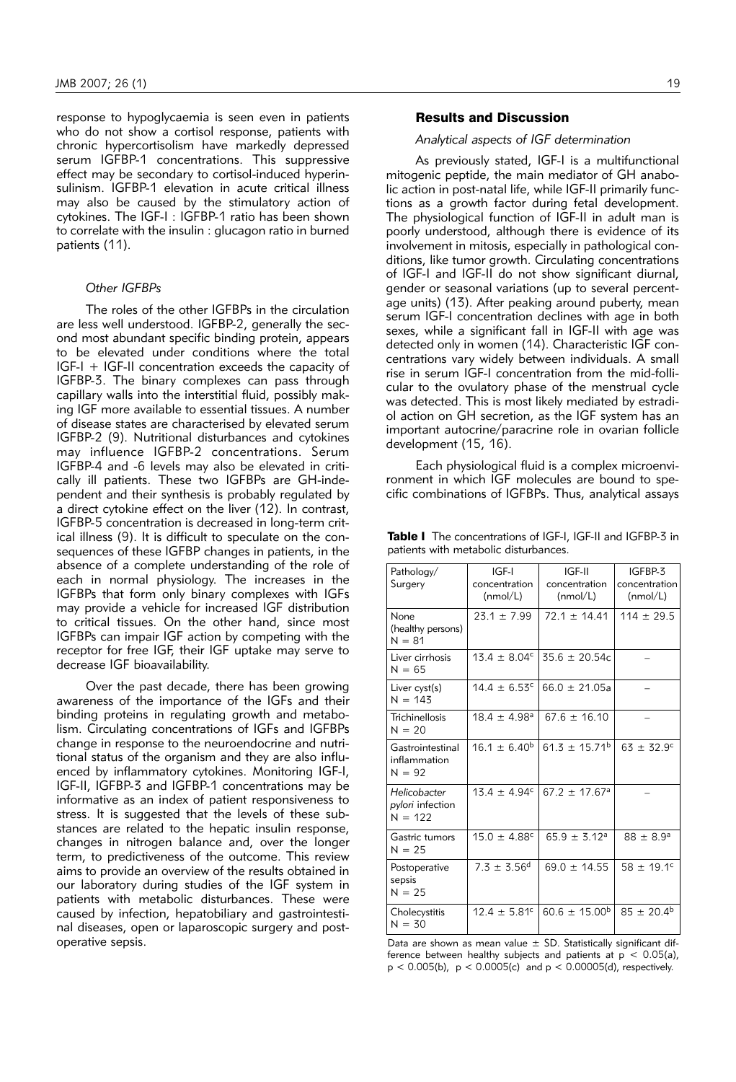response to hypoglycaemia is seen even in patients who do not show a cortisol response, patients with chronic hypercortisolism have markedly depressed serum IGFBP-1 concentrations. This suppressive effect may be secondary to cortisol-induced hyperinsulinism. IGFBP-1 elevation in acute critical illness may also be caused by the stimulatory action of cytokines. The IGF-I : IGFBP-1 ratio has been shown to correlate with the insulin : glucagon ratio in burned patients (11).

### *Other IGFBPs*

The roles of the other IGFBPs in the circulation are less well understood. IGFBP-2, generally the second most abundant specific binding protein, appears to be elevated under conditions where the total IGF-I + IGF-II concentration exceeds the capacity of IGFBP-3. The binary complexes can pass through capillary walls into the interstitial fluid, possibly making IGF more available to essential tissues. A number of disease states are characterised by elevated serum IGFBP-2 (9). Nutritional disturbances and cytokines may influence IGFBP-2 concentrations. Serum IGFBP-4 and -6 levels may also be elevated in critically ill patients. These two IGFBPs are GH-independent and their synthesis is probably regulated by a direct cytokine effect on the liver (12). In contrast, IGFBP-5 concentration is decreased in long-term critical illness (9). It is difficult to speculate on the consequences of these IGFBP changes in patients, in the absence of a complete understanding of the role of each in normal physiology. The increases in the IGFBPs that form only binary complexes with IGFs may provide a vehicle for increased IGF distribution to critical tissues. On the other hand, since most IGFBPs can impair IGF action by competing with the receptor for free IGF, their IGF uptake may serve to decrease IGF bioavailability.

Over the past decade, there has been growing awareness of the importance of the IGFs and their binding proteins in regulating growth and metabolism. Circulating concentrations of IGFs and IGFBPs change in response to the neuroendocrine and nutritional status of the organism and they are also influenced by inflammatory cytokines. Monitoring IGF-I, IGF-II, IGFBP-3 and IGFBP-1 concentrations may be informative as an index of patient responsiveness to stress. It is suggested that the levels of these substances are related to the hepatic insulin response, changes in nitrogen balance and, over the longer term, to predictiveness of the outcome. This review aims to provide an overview of the results obtained in our laboratory during studies of the IGF system in patients with metabolic disturbances. These were caused by infection, hepatobiliary and gastrointestinal diseases, open or laparoscopic surgery and postoperative sepsis.

# Results and Discussion

#### *Analytical aspects of IGF determination*

As previously stated, IGF-I is a multifunctional mitogenic peptide, the main mediator of GH anabolic action in post-natal life, while IGF-II primarily functions as a growth factor during fetal development. The physiological function of IGF-II in adult man is poorly understood, although there is evidence of its involvement in mitosis, especially in pathological conditions, like tumor growth. Circulating concentrations of IGF-I and IGF-II do not show significant diurnal, gender or seasonal variations (up to several percentage units) (13). After peaking around puberty, mean serum IGF-I concentration declines with age in both sexes, while a significant fall in IGF-II with age was detected only in women (14). Characteristic IGF concentrations vary widely between individuals. A small rise in serum IGF-I concentration from the mid-follicular to the ovulatory phase of the menstrual cycle was detected. This is most likely mediated by estradiol action on GH secretion, as the IGF system has an important autocrine/paracrine role in ovarian follicle development (15, 16).

Each physiological fluid is a complex microenvironment in which IGF molecules are bound to specific combinations of IGFBPs. Thus, analytical assays

Table I The concentrations of IGF-I, IGF-II and IGFBP-3 in patients with metabolic disturbances.

| Pathology/<br>Surgery                         | IGF-I<br>concentration<br>(mmol/L) | IGF-II<br>concentration<br>(mmol/L) | IGFBP-3<br>concentration<br>(mmol/L) |
|-----------------------------------------------|------------------------------------|-------------------------------------|--------------------------------------|
| None<br>(healthy persons)<br>$N = 81$         | $23.1 \pm 7.99$                    | $721 + 1441$                        | $114 \pm 29.5$                       |
| Liver cirrhosis<br>$N = 65$                   | $13.4 \pm 8.04^{\circ}$            | $35.6 \pm 20.54c$                   |                                      |
| Liver cyst(s)<br>$N = 143$                    | $14.4 \pm 6.53$ <sup>c</sup>       | $66.0 \pm 21.05a$                   |                                      |
| Trichinellosis<br>$N = 20$                    | $18.4 \pm 4.98$ <sup>a</sup>       | $67.6 \pm 16.10$                    |                                      |
| Gastrointestinal<br>inflammation<br>$N = 92$  | $16.1 \pm 6.40^{\circ}$            | $61.3 \pm 15.71^{\circ}$            | $63 \pm 32.9^{\circ}$                |
| Helicobacter<br>pylori infection<br>$N = 122$ | $13.4 \pm 4.94^{\circ}$            | $67.2 \pm 17.67$ <sup>a</sup>       |                                      |
| Gastric tumors<br>$N = 25$                    | $15.0 \pm 4.88^{\circ}$            | $65.9 \pm 3.12$ <sup>a</sup>        | $88 \pm 8.9^{\circ}$                 |
| Postoperative<br>sepsis<br>$N = 25$           | $7.3 \pm 3.56^{d}$                 | $69.0 \pm 14.55$                    | $58 \pm 19.1$ <sup>c</sup>           |
| Cholecystitis<br>$N = 30$                     | $12.4 \pm 5.81^{\circ}$            | $60.6 \pm 15.00^{\circ}$            | $85 \pm 20.4^{\rm b}$                |

Data are shown as mean value  $\pm$  SD. Statistically significant difference between healthy subjects and patients at  $p < 0.05(a)$ ,  $p < 0.005(b)$ ,  $p < 0.0005(c)$  and  $p < 0.00005(d)$ , respectively.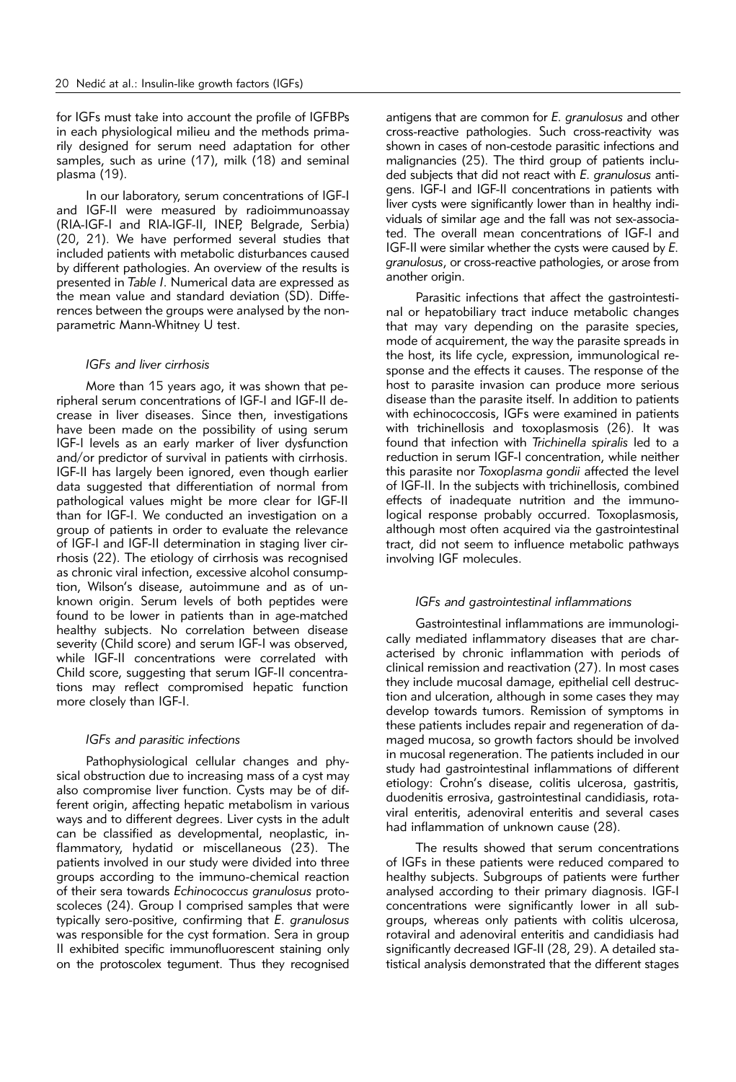for IGFs must take into account the profile of IGFBPs in each physiological milieu and the methods primarily designed for serum need adaptation for other samples, such as urine (17), milk (18) and seminal plasma (19).

In our laboratory, serum concentrations of IGF-I and IGF-II were measured by radioimmunoassay (RIA-IGF-I and RIA-IGF-II, INEP, Belgrade, Serbia) (20, 21). We have performed several studies that included patients with metabolic disturbances caused by different pathologies. An overview of the results is presented in *Table I*. Numerical data are expressed as the mean value and standard deviation (SD). Differences between the groups were analysed by the nonparametric Mann-Whitney U test.

# *IGFs and liver cirrhosis*

More than 15 years ago, it was shown that peripheral serum concentrations of IGF-I and IGF-II decrease in liver diseases. Since then, investigations have been made on the possibility of using serum IGF-I levels as an early marker of liver dysfunction and/or predictor of survival in patients with cirrhosis. IGF-II has largely been ignored, even though earlier data suggested that differentiation of normal from pathological values might be more clear for IGF-II than for IGF-I. We conducted an investigation on a group of patients in order to evaluate the relevance of IGF-I and IGF-II determination in staging liver cirrhosis (22). The etiology of cirrhosis was recognised as chronic viral infection, excessive alcohol consumption, Wilson's disease, autoimmune and as of unknown origin. Serum levels of both peptides were found to be lower in patients than in age-matched healthy subjects. No correlation between disease severity (Child score) and serum IGF-I was observed, while IGF-II concentrations were correlated with Child score, suggesting that serum IGF-II concentrations may reflect compromised hepatic function more closely than IGF-I.

# *IGFs and parasitic infections*

Pathophysiological cellular changes and physical obstruction due to increasing mass of a cyst may also compromise liver function. Cysts may be of different origin, affecting hepatic metabolism in various ways and to different degrees. Liver cysts in the adult can be classified as developmental, neoplastic, inflammatory, hydatid or miscellaneous (23). The patients involved in our study were divided into three groups according to the immuno-chemical reaction of their sera towards *Echinococcus granulosus* protoscoleces (24). Group I comprised samples that were typically sero-positive, confirming that *E. granulosus* was responsible for the cyst formation. Sera in group II exhibited specific immunofluorescent staining only on the protoscolex tegument. Thus they recognised

antigens that are common for *E. granulosus* and other cross-reactive pathologies. Such cross-reactivity was shown in cases of non-cestode parasitic infections and malignancies (25). The third group of patients included subjects that did not react with *E. granulosus* antigens. IGF-I and IGF-II concentrations in patients with liver cysts were significantly lower than in healthy individuals of similar age and the fall was not sex-associated. The overall mean concentrations of IGF-I and IGF-II were similar whether the cysts were caused by *E. granulosus*, or cross-reactive pathologies, or arose from another origin.

Parasitic infections that affect the gastrointestinal or hepatobiliary tract induce metabolic changes that may vary depending on the parasite species, mode of acquirement, the way the parasite spreads in the host, its life cycle, expression, immunological response and the effects it causes. The response of the host to parasite invasion can produce more serious disease than the parasite itself. In addition to patients with echinococcosis, IGFs were examined in patients with trichinellosis and toxoplasmosis (26). It was found that infection with *Trichinella spiralis* led to a reduction in serum IGF-I concentration, while neither this parasite nor *Toxoplasma gondii* affected the level of IGF-II. In the subjects with trichinellosis, combined effects of inadequate nutrition and the immunological response probably occurred. Toxoplasmosis, although most often acquired via the gastrointestinal tract, did not seem to influence metabolic pathways involving IGF molecules.

### *IGFs and gastrointestinal inflammations*

Gastrointestinal inflammations are immunologically mediated inflammatory diseases that are characterised by chronic inflammation with periods of clinical remission and reactivation (27). In most cases they include mucosal damage, epithelial cell destruction and ulceration, although in some cases they may develop towards tumors. Remission of symptoms in these patients includes repair and regeneration of damaged mucosa, so growth factors should be involved in mucosal regeneration. The patients included in our study had gastrointestinal inflammations of different etiology: Crohn's disease, colitis ulcerosa, gastritis, duodenitis errosiva, gastrointestinal candidiasis, rotaviral enteritis, adenoviral enteritis and several cases had inflammation of unknown cause (28).

The results showed that serum concentrations of IGFs in these patients were reduced compared to healthy subjects. Subgroups of patients were further analysed according to their primary diagnosis. IGF-I concentrations were significantly lower in all subgroups, whereas only patients with colitis ulcerosa, rotaviral and adenoviral enteritis and candidiasis had significantly decreased IGF-II (28, 29). A detailed statistical analysis demonstrated that the different stages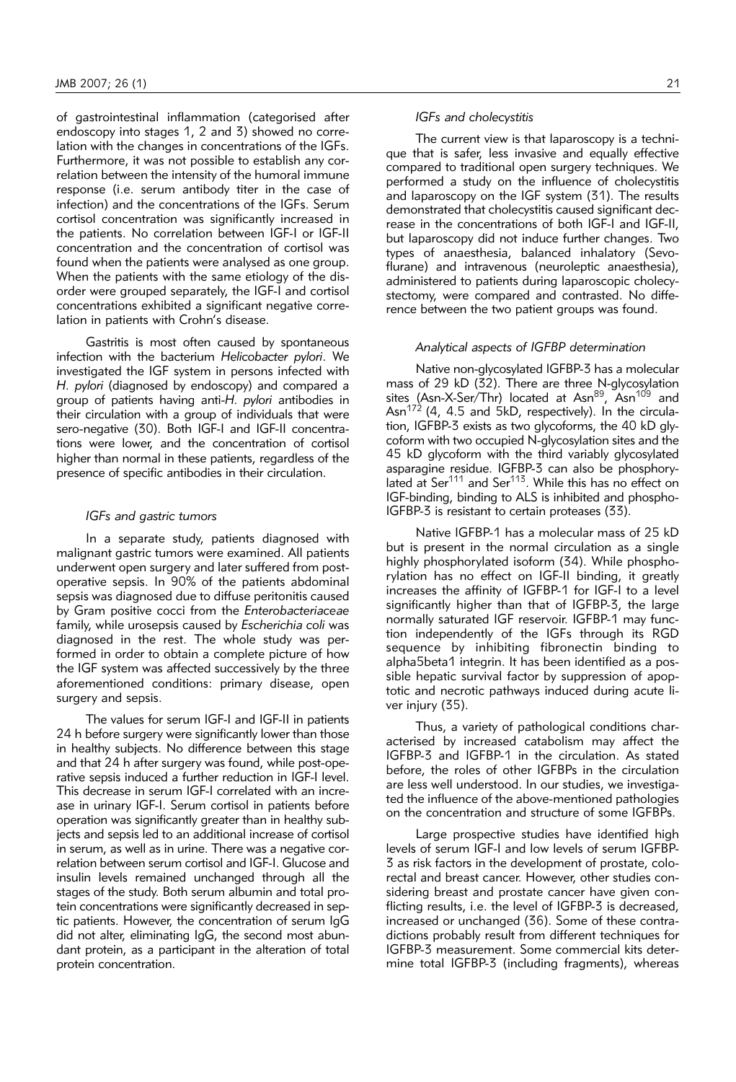of gastrointestinal inflammation (categorised after endoscopy into stages 1, 2 and 3) showed no correlation with the changes in concentrations of the IGFs. Furthermore, it was not possible to establish any correlation between the intensity of the humoral immune response (i.e. serum antibody titer in the case of infection) and the concentrations of the IGFs. Serum cortisol concentration was significantly increased in the patients. No correlation between IGF-I or IGF-II concentration and the concentration of cortisol was found when the patients were analysed as one group. When the patients with the same etiology of the disorder were grouped separately, the IGF-I and cortisol concentrations exhibited a significant negative correlation in patients with Crohn's disease.

Gastritis is most often caused by spontaneous infection with the bacterium *Helicobacter pylori*. We investigated the IGF system in persons infected with *H. pylori* (diagnosed by endoscopy) and compared a group of patients having anti-*H. pylori* antibodies in their circulation with a group of individuals that were sero-negative (30). Both IGF-I and IGF-II concentrations were lower, and the concentration of cortisol higher than normal in these patients, regardless of the presence of specific antibodies in their circulation.

# *IGFs and gastric tumors*

In a separate study, patients diagnosed with malignant gastric tumors were examined. All patients underwent open surgery and later suffered from postoperative sepsis. In 90% of the patients abdominal sepsis was diagnosed due to diffuse peritonitis caused by Gram positive cocci from the *Enterobacteriaceae* family, while urosepsis caused by *Escherichia coli* was diagnosed in the rest. The whole study was performed in order to obtain a complete picture of how the IGF system was affected successively by the three aforementioned conditions: primary disease, open surgery and sepsis.

The values for serum IGF-I and IGF-II in patients 24 h before surgery were significantly lower than those in healthy subjects. No difference between this stage and that 24 h after surgery was found, while post-operative sepsis induced a further reduction in IGF-I level. This decrease in serum IGF-I correlated with an increase in urinary IGF-I. Serum cortisol in patients before operation was significantly greater than in healthy subjects and sepsis led to an additional increase of cortisol in serum, as well as in urine. There was a negative correlation between serum cortisol and IGF-I. Glucose and insulin levels remained unchanged through all the stages of the study. Both serum albumin and total protein concentrations were significantly decreased in septic patients. However, the concentration of serum IgG did not alter, eliminating IgG, the second most abundant protein, as a participant in the alteration of total protein concentration.

#### *IGFs and cholecystitis*

The current view is that laparoscopy is a technique that is safer, less invasive and equally effective compared to traditional open surgery techniques. We performed a study on the influence of cholecystitis and laparoscopy on the IGF system (31). The results demonstrated that cholecystitis caused significant decrease in the concentrations of both IGF-I and IGF-II, but laparoscopy did not induce further changes. Two types of anaesthesia, balanced inhalatory (Sevoflurane) and intravenous (neuroleptic anaesthesia), administered to patients during laparoscopic cholecystectomy, were compared and contrasted. No difference between the two patient groups was found.

#### *Analytical aspects of IGFBP determination*

Native non-glycosylated IGFBP-3 has a molecular mass of 29 kD (32). There are three N-glycosylation sites (Asn-X-Ser/Thr) located at Asn<sup>89</sup>, Asn<sup>109</sup> and Asn<sup>172</sup> (4, 4.5 and 5kD, respectively). In the circulation, IGFBP-3 exists as two glycoforms, the 40 kD glycoform with two occupied N-glycosylation sites and the 45 kD glycoform with the third variably glycosylated asparagine residue. IGFBP-3 can also be phosphorylated at  $\text{Ser}^{111}$  and  $\text{Ser}^{113}$ . While this has no effect on IGF-binding, binding to ALS is inhibited and phospho-IGFBP-3 is resistant to certain proteases (33).

Native IGFBP-1 has a molecular mass of 25 kD but is present in the normal circulation as a single highly phosphorylated isoform (34). While phosphorylation has no effect on IGF-II binding, it greatly increases the affinity of IGFBP-1 for IGF-I to a level significantly higher than that of IGFBP-3, the large normally saturated IGF reservoir. IGFBP-1 may function independently of the IGFs through its RGD sequence by inhibiting fibronectin binding to alpha5beta1 integrin. It has been identified as a possible hepatic survival factor by suppression of apoptotic and necrotic pathways induced during acute liver injury (35).

Thus, a variety of pathological conditions characterised by increased catabolism may affect the IGFBP-3 and IGFBP-1 in the circulation. As stated before, the roles of other IGFBPs in the circulation are less well understood. In our studies, we investigated the influence of the above-mentioned pathologies on the concentration and structure of some IGFBPs.

Large prospective studies have identified high levels of serum IGF-I and low levels of serum IGFBP-3 as risk factors in the development of prostate, colorectal and breast cancer. However, other studies considering breast and prostate cancer have given conflicting results, i.e. the level of IGFBP-3 is decreased, increased or unchanged (36). Some of these contradictions probably result from different techniques for IGFBP-3 measurement. Some commercial kits determine total IGFBP-3 (including fragments), whereas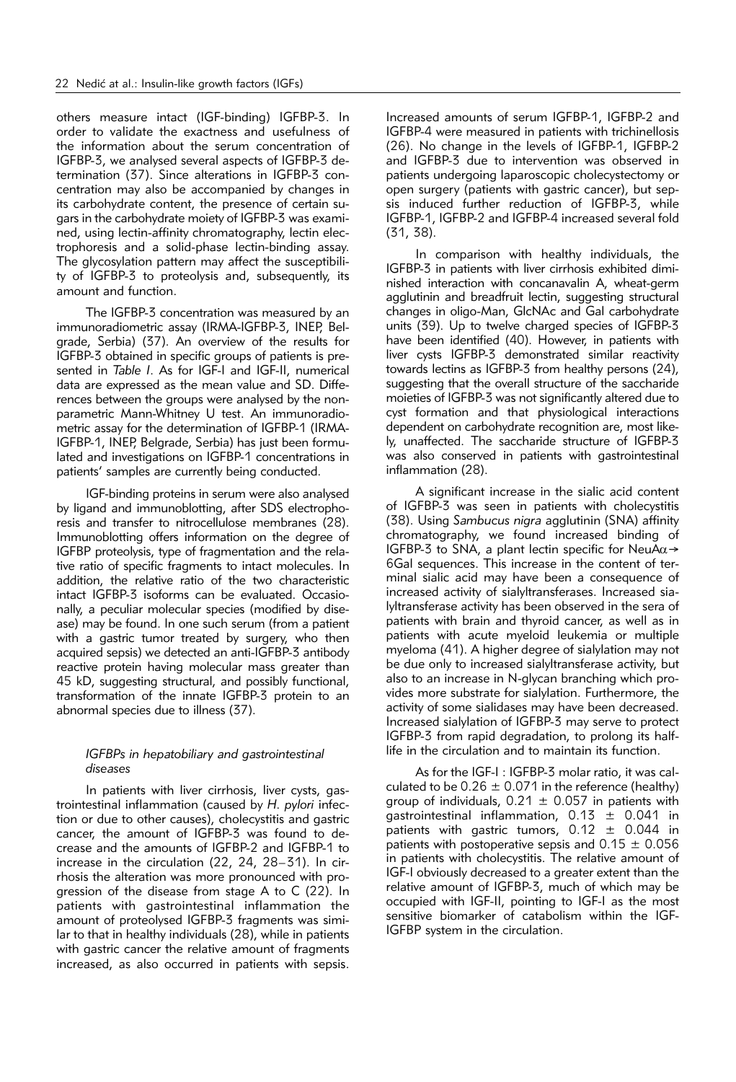others measure intact (IGF-binding) IGFBP-3. In order to validate the exactness and usefulness of the information about the serum concentration of IGFBP-3, we analysed several aspects of IGFBP-3 determination (37). Since alterations in IGFBP-3 concentration may also be accompanied by changes in its carbohydrate content, the presence of certain sugars in the carbohydrate moiety of IGFBP-3 was examined, using lectin-affinity chromatography, lectin electrophoresis and a solid-phase lectin-binding assay. The glycosylation pattern may affect the susceptibility of IGFBP-3 to proteolysis and, subsequently, its amount and function.

The IGFBP-3 concentration was measured by an immunoradiometric assay (IRMA-IGFBP-3, INEP, Belgrade, Serbia) (37). An overview of the results for IGFBP-3 obtained in specific groups of patients is presented in *Table I*. As for IGF-I and IGF-II, numerical data are expressed as the mean value and SD. Differences between the groups were analysed by the nonparametric Mann-Whitney U test. An immunoradiometric assay for the determination of IGFBP-1 (IRMA-IGFBP-1, INEP, Belgrade, Serbia) has just been formulated and investigations on IGFBP-1 concentrations in patients' samples are currently being conducted.

IGF-binding proteins in serum were also analysed by ligand and immunoblotting, after SDS electrophoresis and transfer to nitrocellulose membranes (28). Immunoblotting offers information on the degree of IGFBP proteolysis, type of fragmentation and the relative ratio of specific fragments to intact molecules. In addition, the relative ratio of the two characteristic intact IGFBP-3 isoforms can be evaluated. Occasionally, a peculiar molecular species (modified by disease) may be found. In one such serum (from a patient with a gastric tumor treated by surgery, who then acquired sepsis) we detected an anti-IGFBP-3 antibody reactive protein having molecular mass greater than 45 kD, suggesting structural, and possibly functional, transformation of the innate IGFBP-3 protein to an abnormal species due to illness (37).

# *IGFBPs in hepatobiliary and gastrointestinal diseases*

In patients with liver cirrhosis, liver cysts, gastrointestinal inflammation (caused by *H. pylori* infection or due to other causes), cholecystitis and gastric cancer, the amount of IGFBP-3 was found to decrease and the amounts of IGFBP-2 and IGFBP-1 to increase in the circulation (22, 24, 28–31). In cirrhosis the alteration was more pronounced with progression of the disease from stage A to C (22). In patients with gastrointestinal inflammation the amount of proteolysed IGFBP-3 fragments was similar to that in healthy individuals (28), while in patients with gastric cancer the relative amount of fragments increased, as also occurred in patients with sepsis.

Increased amounts of serum IGFBP-1, IGFBP-2 and IGFBP-4 were measured in patients with trichinellosis (26). No change in the levels of IGFBP-1, IGFBP-2 and IGFBP-3 due to intervention was observed in patients undergoing laparoscopic cholecystectomy or open surgery (patients with gastric cancer), but sepsis induced further reduction of IGFBP-3, while IGFBP-1, IGFBP-2 and IGFBP-4 increased several fold (31, 38).

In comparison with healthy individuals, the IGFBP-3 in patients with liver cirrhosis exhibited diminished interaction with concanavalin A, wheat-germ agglutinin and breadfruit lectin, suggesting structural changes in oligo-Man, GlcNAc and Gal carbohydrate units (39). Up to twelve charged species of IGFBP-3 have been identified (40). However, in patients with liver cysts IGFBP-3 demonstrated similar reactivity towards lectins as IGFBP-3 from healthy persons (24), suggesting that the overall structure of the saccharide moieties of IGFBP-3 was not significantly altered due to cyst formation and that physiological interactions dependent on carbohydrate recognition are, most likely, unaffected. The saccharide structure of IGFBP-3 was also conserved in patients with gastrointestinal inflammation (28).

A significant increase in the sialic acid content of IGFBP-3 was seen in patients with cholecystitis (38). Using *Sambucus nigra* agglutinin (SNA) affinity chromatography, we found increased binding of IGFBP-3 to SNA, a plant lectin specific for NeuA $\alpha \rightarrow$ 6Gal sequences. This increase in the content of terminal sialic acid may have been a consequence of increased activity of sialyltransferases. Increased sialyltransferase activity has been observed in the sera of patients with brain and thyroid cancer, as well as in patients with acute myeloid leukemia or multiple myeloma (41). A higher degree of sialylation may not be due only to increased sialyltransferase activity, but also to an increase in N-glycan branching which provides more substrate for sialylation. Furthermore, the activity of some sialidases may have been decreased. Increased sialylation of IGFBP-3 may serve to protect IGFBP-3 from rapid degradation, to prolong its halflife in the circulation and to maintain its function.

As for the IGF-I : IGFBP-3 molar ratio, it was calculated to be  $0.26 \pm 0.071$  in the reference (healthy) group of individuals,  $0.21 \pm 0.057$  in patients with gastrointestinal inflammation, 0.13 ± 0.041 in patients with gastric tumors,  $0.12 \pm 0.044$  in patients with postoperative sepsis and  $0.15 \pm 0.056$ in patients with cholecystitis. The relative amount of IGF-I obviously decreased to a greater extent than the relative amount of IGFBP-3, much of which may be occupied with IGF-II, pointing to IGF-I as the most sensitive biomarker of catabolism within the IGF-IGFBP system in the circulation.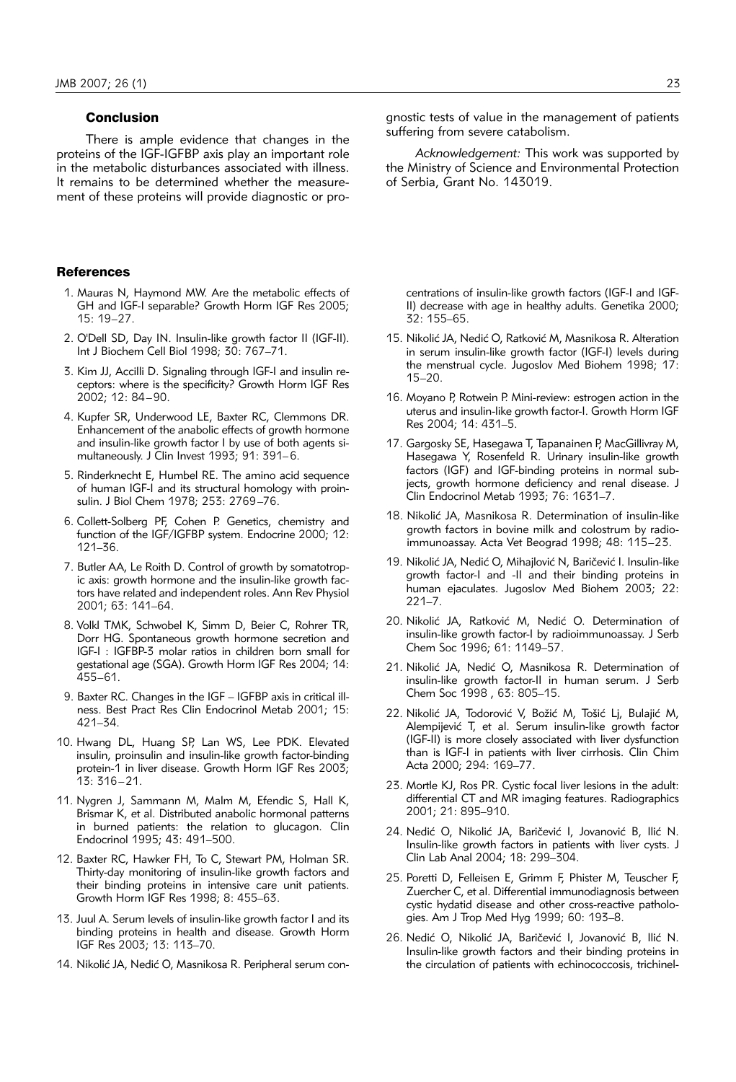# **Conclusion**

There is ample evidence that changes in the proteins of the IGF-IGFBP axis play an important role in the metabolic disturbances associated with illness. It remains to be determined whether the measurement of these proteins will provide diagnostic or pro-

#### **References**

- 1. Mauras N, Haymond MW. Are the metabolic effects of GH and IGF-I separable? Growth Horm IGF Res 2005; 15: 19–27.
- 2. O'Dell SD, Day IN. Insulin-like growth factor II (IGF-II). Int J Biochem Cell Biol 1998; 30: 767–71.
- 3. Kim JJ, Accilli D. Signaling through IGF-I and insulin receptors: where is the specificity? Growth Horm IGF Res 2002; 12: 84–90.
- 4. Kupfer SR, Underwood LE, Baxter RC, Clemmons DR. Enhancement of the anabolic effects of growth hormone and insulin-like growth factor I by use of both agents simultaneously. J Clin Invest 1993; 91: 391–6.
- 5. Rinderknecht E, Humbel RE. The amino acid sequence of human IGF-I and its structural homology with proinsulin. J Biol Chem 1978; 253: 2769–76.
- 6. Collett-Solberg PF, Cohen P. Genetics, chemistry and function of the IGF/IGFBP system. Endocrine 2000; 12: 121–36.
- 7. Butler AA, Le Roith D. Control of growth by somatotropic axis: growth hormone and the insulin-like growth factors have related and independent roles. Ann Rev Physiol 2001; 63: 141–64.
- 8. Volkl TMK, Schwobel K, Simm D, Beier C, Rohrer TR, Dorr HG. Spontaneous growth hormone secretion and IGF-I : IGFBP-3 molar ratios in children born small for gestational age (SGA). Growth Horm IGF Res 2004; 14: 455–61.
- 9. Baxter RC. Changes in the IGF IGFBP axis in critical illness. Best Pract Res Clin Endocrinol Metab 2001; 15: 421–34.
- 10. Hwang DL, Huang SP, Lan WS, Lee PDK. Elevated insulin, proinsulin and insulin-like growth factor-binding protein-1 in liver disease. Growth Horm IGF Res 2003; 13: 316–21.
- 11. Nygren J, Sammann M, Malm M, Efendic S, Hall K, Brismar K, et al. Distributed anabolic hormonal patterns in burned patients: the relation to glucagon. Clin Endocrinol 1995; 43: 491–500.
- 12. Baxter RC, Hawker FH, To C, Stewart PM, Holman SR. Thirty-day monitoring of insulin-like growth factors and their binding proteins in intensive care unit patients. Growth Horm IGF Res 1998; 8: 455–63.
- 13. Juul A. Serum levels of insulin-like growth factor I and its binding proteins in health and disease. Growth Horm IGF Res 2003; 13: 113–70.
- 14. Nikolić JA, Nedić O, Masnikosa R. Peripheral serum con-

gnostic tests of value in the management of patients suffering from severe catabolism.

*Acknowledgement:* This work was supported by the Ministry of Science and Environmental Protection of Serbia, Grant No. 143019.

centrations of insulin-like growth factors (IGF-I and IGF-II) decrease with age in healthy adults. Genetika 2000; 32: 155–65.

- 15. Nikolić JA, Nedić O, Ratković M, Masnikosa R. Alteration in serum insulin-like growth factor (IGF-I) levels during the menstrual cycle. Jugoslov Med Biohem 1998; 17: 15–20.
- 16. Moyano P, Rotwein P. Mini-review: estrogen action in the uterus and insulin-like growth factor-I. Growth Horm IGF Res 2004; 14: 431–5.
- 17. Gargosky SE, Hasegawa T, Tapanainen P, MacGillivray M, Hasegawa Y, Rosenfeld R. Urinary insulin-like growth factors (IGF) and IGF-binding proteins in normal subjects, growth hormone deficiency and renal disease. J Clin Endocrinol Metab 1993; 76: 1631–7.
- 18. Nikolić JA, Masnikosa R. Determination of insulin-like growth factors in bovine milk and colostrum by radioimmunoassay. Acta Vet Beograd 1998; 48: 115–23.
- 19. Nikolić JA, Nedić O, Mihajlović N, Baričević I. Insulin-like growth factor-I and -II and their binding proteins in human ejaculates. Jugoslov Med Biohem 2003; 22: 221–7.
- 20. Nikolić JA, Ratković M, Nedić O. Determination of insulin-like growth factor-I by radioimmunoassay. J Serb Chem Soc 1996; 61: 1149–57.
- 21. Nikolić JA, Nedić O, Masnikosa R. Determination of insulin-like growth factor-II in human serum. J Serb Chem Soc 1998 , 63: 805–15.
- 22. Nikolić JA, Todorović V, Božić M, Tošić Lj, Bulajić M, Alempijević T, et al. Serum insulin-like growth factor (IGF-II) is more closely associated with liver dysfunction than is IGF-I in patients with liver cirrhosis. Clin Chim Acta 2000; 294: 169–77.
- 23. Mortle KJ, Ros PR. Cystic focal liver lesions in the adult: differential CT and MR imaging features. Radiographics 2001; 21: 895–910.
- 24. Nedić O, Nikolić JA, Baričević I, Jovanović B, Ilić N. Insulin-like growth factors in patients with liver cysts. J Clin Lab Anal 2004; 18: 299–304.
- 25. Poretti D, Felleisen E, Grimm F, Phister M, Teuscher F, Zuercher C, et al. Differential immunodiagnosis between cystic hydatid disease and other cross-reactive pathologies. Am J Trop Med Hyg 1999; 60: 193–8.
- 26. Nedić O, Nikolić JA, Baričević I, Jovanović B, Ilić N. Insulin-like growth factors and their binding proteins in the circulation of patients with echinococcosis, trichinel-